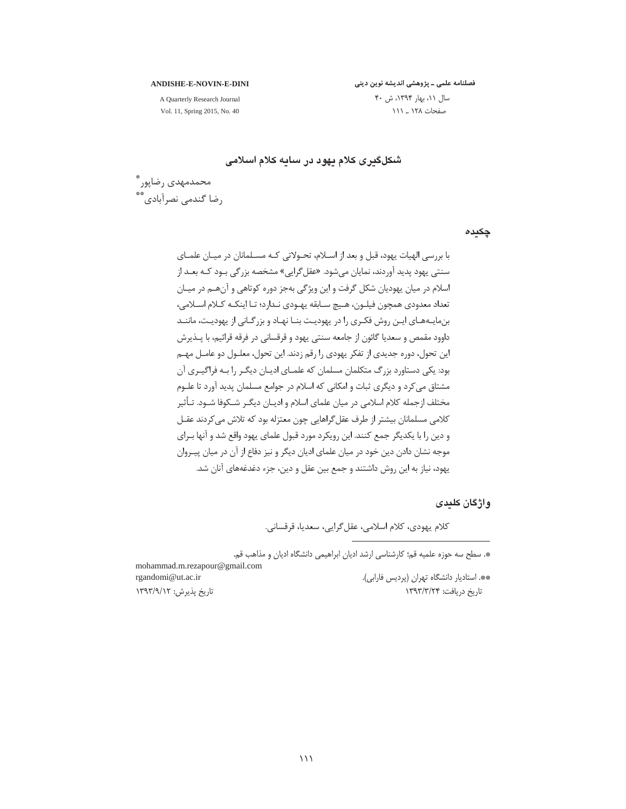#### **ANDISHE-E-NOVIN-E-DINI**

فصلنامه علمی ـ پژوهشی اندیشه نوین دینی

A Quarterly Research Journal Vol. 11, Spring 2015, No. 40 سال ١١، بهار ١٣٩۴، ش ۴٠ صفحات ١٢٨ \_ ١١١

شکلگیری کلام یهود در سایه کلام اسلامی

محمدمهدي رضاپور ٌ , ضا گندمے, نصرآبادی ٌ \*\*

چکیدہ

با بررسی الهیات یهود، قبل و بعد از اسـلام، تحـولاتی کـه مسـلمانان در میـان علمـای سنتے ، پھود پدید آوردند، نمایان مے شود. «عقل گرایے » مشخصه بزر گے ، بـود کـه بعــد از اسلام در میان پهودیان شکل گرفت و این ویژگی بهجز دوره کوتاهی و آن هـم در میـان تعداد معدودي همچون فيلـون، هـيچ سـابقه پهـودي نـدارد؛ تـا اينكـه كـلام اسـلامي، بن مایـههـای ایـن روش فکـری را در یهودیـت بنـا نهـاد و بزرگـانی از یهودیـت، ماننـد داوود مقمص و سعدیا گائون از جامعه سنتی یهود و قرقسانی در فرقه قرائیم، با پــذیرش این تحول، دوره جدیدی از تفکر یهودی را رقم زدند. این تحول، معلـول دو عامـل مهـم بود: یکی دستاورد بزرگ متکلمان مسلمان که علمــای ادیــان دیگــر را بــه فراگیــری آن مشتاق می کرد و دیگری ثبات و امکانی که اسلام در جوامع مسلمان پدید آورد تا علـوم مختلف ازجمله کلام اسلامی در میان علمای اسلام و ادیـان دیگـر شــکوفا شــود. تـأثیر كلامي مسلمانان بيشتر از طرف عقل گراهايي چون معتزله بود كه تلاش مي كردند عقـل و دین را با یکدیگر جمع کنند. این رویکرد مورد قبول علمای یهود واقع شد و آنها بـرای موجه نشان دادن دین خود در میان علمای ادیان دیگر و نیز دفاع از آن در میان پیـروان یهود، نیاز به این روش داشتند و جمع بین عقل و دین، جزء دغدغههای آنان شد.

# و اژگان کلیدی

كلام يهودي، كلام اسلامي، عقل گرايي، سعديا، قرقساني.

\*. سطح سه حوزه علمیه قم؛ کارشناسی ارشد ادیان ابراهیمی دانشگاه ادیان و مذاهب قم.

\*\*. استادیار دانشگاه تهران (پردیس فارابی). تا, یخ د, بافت: ۱۳۹۳/۳/۲۴

mohammad.m.rezapour@gmail.com rgandomi@ut.ac.ir تاریخ پذیرش: ۱۳۹۳/۹/۱۲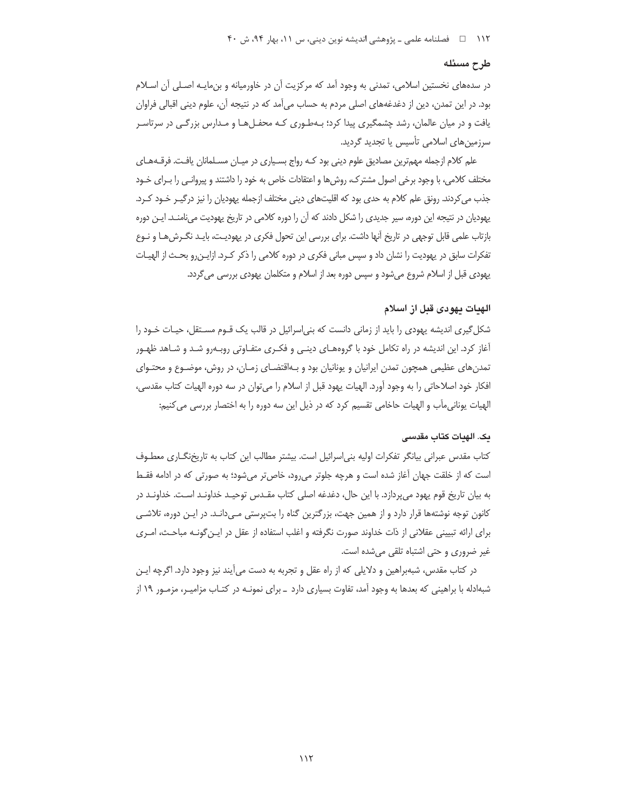۱۱۲ فصلنامه علمي ـ پژوهشي انديشه نوين ديني، س ۱۱، بهار ۹۴، ش ۴۰

# طرح مسئله

در سدههای نخستین اسلامی، تمدنی به وجود آمد که مرکزیت آن در خاورمیانه و بن مایـه اصـلی آن اسـلام بود. در این تمدن، دین از دغدغههای اصلی مردم به حساب می آمد که در نتیجه آن، علوم دینی اقبالی فراوان یافت و در میان عالمان، رشد چشمگیری پیدا کرد؛ بـهطـوری کـه محفـلهـا و مـدارس بزرگـی در سرتاسـر سرزمین های اسلامی تأسیس یا تجدید گردید.

علم کلام ازجمله مهمترین مصادیق علوم دینی بود کـه رواج بسـیاری در میـان مسـلمانان یافـت. فرقـههـای مختلف کلامی، با وجود برخی اصول مشترک، روشها و اعتقادات خاص به خود را داشتند و پیروانبی را بـرای خـود جذب می کردند. رونق علم کلام به حدی بود که اقلیتهای دینی مختلف ازجمله یهودیان را نیز درگیـر خـود کـرد. یهودیان در نتیجه این دوره، سیر جدیدی را شکل دادند که آن را دوره کلامی در تاریخ یهودیت می نامنـد. ایـن دوره بازتاب علمی قابل توجهی در تاریخ آنها داشت. برای بررسی این تحول فکری در یهودیت، بایـد نگـرشهـا و نـوع تفکرات سابق در پهودیت را نشان داد و سپس مبانی فکری در دوره کلامی را ذکر کـرد. ازایـن٫رو بحـث از الهیـات یهودی قبل از اسلام شروع می شود و سپس دوره بعد از اسلام و متکلمان یهودی بررسی می گردد.

# الهنات نهودي قبل از اسلام

شکل گیری اندیشه یهودی را باید از زمانی دانست که بنی|سرائیل در قالب یک قــوم مســتقل، حیــات خــود را آغاز کرد. این اندیشه در راه تکامل خود با گروههـای دینـی و فکـری متفـاوتی روبـهرو شـد و شـاهد ظهـور تمدنهای عظیمی همچون تمدن ایرانیان و یونانیان بود و بـهاقتضـای زمـان، در روش، موضـوع و محتـوای افكار خود اصلاحاتي را به وجود آورد. الهيات يهود قبل از اسلام را مي¤وان در سه دوره الهيات كتاب مقدسي، الهيات يوناني ماَب و الهيات حاخامي تقسيم كرد كه در ذيل اين سه دوره را به اختصار بررسي مي كنيم:

# یک. الهیات کتاب مقدسی

کتاب مقدس عبرانی بیانگر تفکرات اولیه بنی|سرائیل است. بیشتر مطالب این کتاب به تاریخنگـاری معطـوف است که از خلقت جهان آغاز شده است و هرچه جلوتر می رود، خاص تر می شود؛ به صورتی که در ادامه فقـط به بیان تاریخ قوم یهود می پردازد. با این حال، دغدغه اصلی کتاب مقـدس توحیـد خداونـد اسـت. خداونـد در کانون توجه نوشتهها قرار دارد و از همین جهت، بزرگترین گناه را بتپرستی مـی‹انـد. در ایـن دوره، تلاشـی برای ارائه تبیینی عقلانی از ذات خداوند صورت نگرفته و اغلب استفاده از عقل در ایـن گونـه مباحـث، امـری غیر ضروری و حتی اشتباه تلقی میشده است.

در کتاب مقدس، شبهبراهین و دلایلی که از راه عقل و تجربه به دست میآیند نیز وجود دارد. اگرچه ایـن شبهادله با براهینی که بعدها به وجود آمد، تفاوت بسیاری دارد \_ برای نمونـه در کتـاب مزامیـر، مزمـور ۱۹ از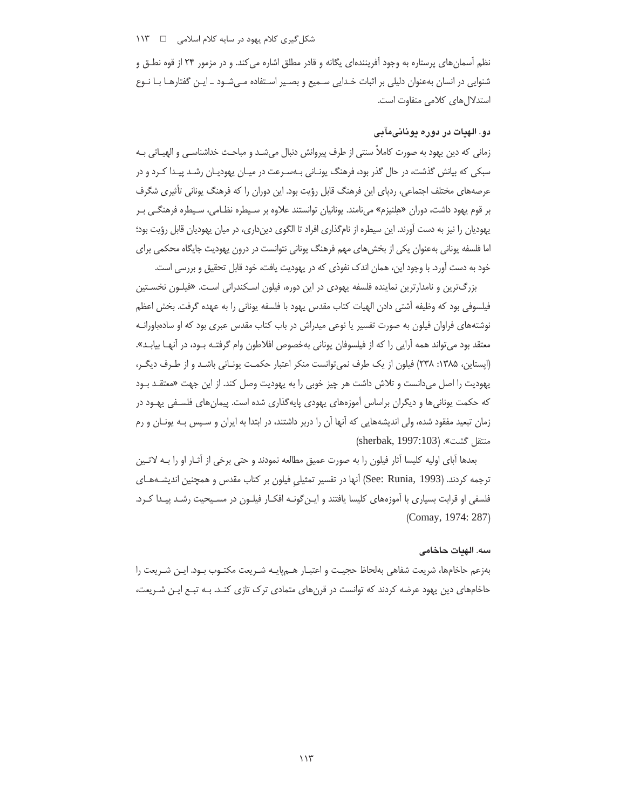نظم آسمانهای پرستاره به وجود آفرینندهای یگانه و قادر مطلق اشاره می کند. و در مزمور ۲۴ از قوه نطـق و شنوایی در انسان بهعنوان دلیلی بر اثبات خـدایی سـمیع و بصـیر اسـتفاده مـیشـود ـ ایـن گفتارهـا بـا نـوع استدلالهای کلامی متفاوت است.

# دو. الهيات در دوره يونانۍمآبی

زماني كه دين پهود به صورت كاملاً سنتي از طرف پيروانش دنبال مي شـد و مباحـث خداشناسـي و الهيـاتي بـه سبکی که بیانش گذشت، در حال گذر بود، فرهنگ یونـانی بـهسـرعت در میـان یهودیـان رشـد پیـدا کـرد و در عرصههای مختلف اجتماعی، ردپای این فرهنگ قابل رؤیت بود. این دوران را که فرهنگ یونانی تأثیری شگرف بر قوم یهود داشت، دوران «هِلنیزم» میiامند. یونانیان توانستند علاوه بر سـیطره نظـامی، سـیطره فرهنگـی بـر یهودیان را نیز به دست آورند. این سیطره از نامگذاری افراد تا الگوی دینداری، در میان یهودیان قابل رؤیت بود؛ اما فلسفه یونانی بهعنوان یکی از بخش های مهم فرهنگ یونانی نتوانست در درون یهودیت جایگاه محکمی برای خود به دست آورد. با وجود این، همان اندک نفوذی که در یهودیت یافت، خود قابل تحقیق و بررسی است.

بزرگترین و نامدارترین نماینده فلسفه یهودی در این دوره، فیلون اسـکندرانی اسـت. «فیلـون نخسـتین فيلسوفي بود كه وظيفه آشتي دادن الهيات كتاب مقدس يهود با فلسفه يوناني را به عهده گرفت. بخش اعظم نوشتههای فراوان فیلون به صورت تفسیر یا نوعی میدراش در باب کتاب مقدس عبری بود که او سادهباورانـه معتقد بود می تواند همه آرایی را که از فیلسوفان یونانی بهخصوص افلاطون وام گرفتـه بـود، در آنهـا بیابـد». (اپستاین، ۱۳۸۵: ۲۳۸) فیلون از یک طرف نمی توانست منکر اعتبار حکمت یونـانی باشـد و از طـرف دیگـر، یهودیت را اصل میدانست و تلاش داشت هر چیز خوبی را به یهودیت وصل کند. از این جهت «معتقـد بـود که حکمت یونانیها و دیگران براساس آموزههای یهودی پایهگذاری شده است. پیمانهای فلسـفی یهـود در زمان تبعید مفقود شده، ولی اندیشههایی که آنها آن را دربر داشتند، در ابتدا به ایران و سـیس بـه یونـان و رم منتقل كشت». (sherbak, 1997:103)

بعدها آبای اولیه کلیسا آثار فیلون را به صورت عمیق مطالعه نمودند و حتی برخی از آثـار او را بـه لاتـین ترجمه كردند. (See: Runia, 1993) آنها در تفسير تمثيلي فيلون بر كتاب مقدس و همچنين انديشـههـاي فلسفی او قرابت بسیاری با آموزههای کلیسا یافتند و ایـن گونـه افکـار فیلـون در مسـیحیت رشـد پیـدا کـرد. (Comay, 1974: 287)

#### سه. الهيات حاخامي

بهزعم حاخامها، شريعت شفاهي بهلحاظ حجيت و اعتبـار هـمپايـه شـريعت مكتـوب بـود. ايـن شـريعت را حاخامهای دین یهود عرضه کردند که توانست در قرنهای متمادی ترک تازی کنـد. بـه تبـع ایـن شـریعت،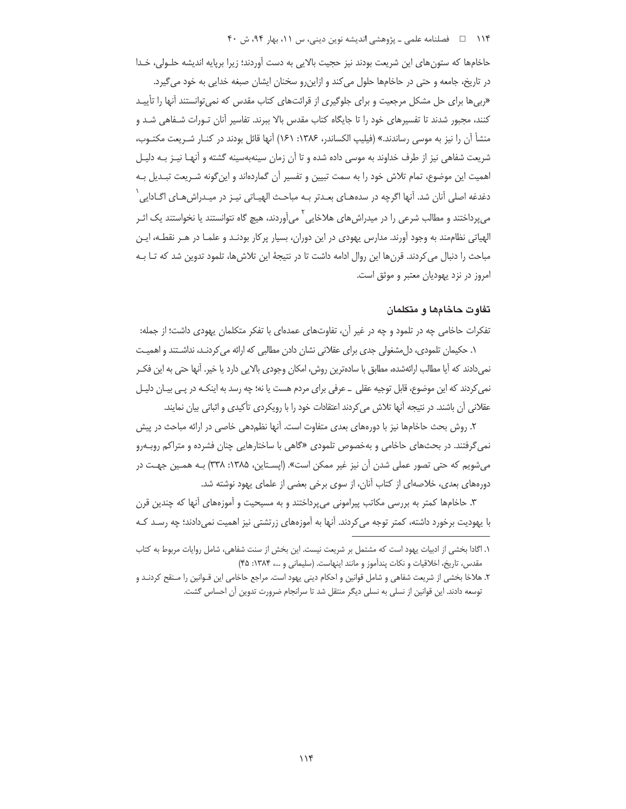# ۱۱۴ هـ المصلنامه علمي ـ پژوهشي انديشه نوين ديني، س ۱۱، بهار ۹۴، ش ۴۰

حاخامها که ستونهای این شریعت بودند نیز حجیت بالایی به دست آوردند؛ زیرا برپایه اندیشه حلـولی، خـدا در تاریخ، جامعه و حتی در حاخامها حلول می کند و ازاین رو سخنان ایشان صبغه خدایی به خود می گیرد. «ربی ها برای حل مشکل مرجعیت و برای جلوگیری از قرائتهای کتاب مقدس که نمیتوانستند آنها را تأییـد کنند، مجبور شدند تا تفسیرهای خود را تا جایگاه کتاب مقدس بالا ببرند. تفاسیر آنان تـورات شـفاهی شـد و منشأ أن را نيز به موسى رساندند.» (فيليپ الكساندر، ۱۳۸۶: ۱۶۱) أنها قائل بودند در كنــار شــريعت مكتــوب، شریعت شفاهی نیز از طرف خداوند به موسی داده شده و تا آن زمان سینهبهسینه گشته و آنهـا نیـز بـه دلیـل اهمیت این موضوع، تمام تلاش خود را به سمت تبیین و تفسیر آن گماردهاند و اینگونه شـریعت تبـدیل بـه دغدغه اصلی آنان شد. آنها اگرچه در سدههـای بعـدتر بـه مباحـث الهیـاتی نیـز در میـدراش۵هـای اگــادایی ٰ میپرداختند و مطالب شرعی را در میدراش های هلاخایی <sup>۱</sup> می]وردند، هیچ گاه نتوانستند یا نخواستند یک اثـر الهیاتی نظاممند به وجود آورند. مدارس یهودی در این دوران، بسیار پرکار بودنـد و علمـا در هـر نقطـه، ایـن مباحث را دنبال می کردند. قرن۱ه این روال ادامه داشت تا در نتیجهٔ این تلاش۵ما، تلمود تدوین شد که تـا بـه امروز در نزد یهودیان معتبر و موثق است.

## تفاوت حاخامها و متكلمان

تفکرات حاخامی چه در تلمود و چه در غیر آن، تفاوتهای عمدهای با تفکر متکلمان یهودی داشت؛ از جمله: ۱. حکیمان تلمودی، دل مشغولی جدی برای عقلانی نشان دادن مطالبی که ارائه می کردنـد، نداشـتند و اهمیـت نمیدادند که آیا مطالب ارائهشده، مطابق با سادهترین روش، امکان وجودی بالایی دارد یا خیر. آنها حتی به این فکـر نمی کردند که این موضوع، قابل توجیه عقلی \_ عرفی برای مردم هست یا نه؛ چه رسد به اینکـه در پـی بیـان دلیـل عقلانی آن باشند. در نتیجه آنها تلاش می کردند اعتقادات خود را با رویکردی تأکیدی و اثباتی بیان نمایند.

۲. روش بحث حاخامها نیز با دورههای بعدی متفاوت است. آنها نظم‹هی خاصی در ارائه مباحث در پیش نمی گرفتند. در بحثهای حاخامی و بهخصوص تلمودی «گاهی با ساختارهایی چنان فشرده و متراکم روبـهرو می شویم که حتی تصور عملی شدن آن نیز غیر ممکن است». (ایسـتاین، ۱۳۸۵: ۳۳۸) بـه همـین جهـت در دورههای بعدی، خلاصهای از کتاب آنان، از سوی برخی بعضی از علمای یهود نوشته شد.

۳. حاخامها کمتر به بررسی مکاتب پیرامونی می،رداختند و به مسیحیت و آموزههای آنها که چندین قرن با پهودیت برخورد داشته، کمتر توجه می کردند. آنها به آموزمهای زرتشتی نیز اهمیت نمی،دادند؛ چه رسـد کـه

١. اگادا بخشی از ادبیات یهود است که مشتمل بر شریعت نیست. این بخش از سنت شفاهی، شامل روایات مربوط به کتاب مقدس، تاریخ، اخلاقیات و نکات پندآموز و مانند اینهاست. (سلیمانی و …، ۱۳۸۴: ۴۵)

۲. هلاخا بخشی از شریعت شفاهی و شامل قوانین و احکام دینی یهود است. مراجع حاخامی این قـوانین را مـنقح کردنـد و توسعه دادند. این قوانین از نسلی به نسلی دیگر منتقل شد تا سرانجام ضرورت تدوین آن احساس گشت.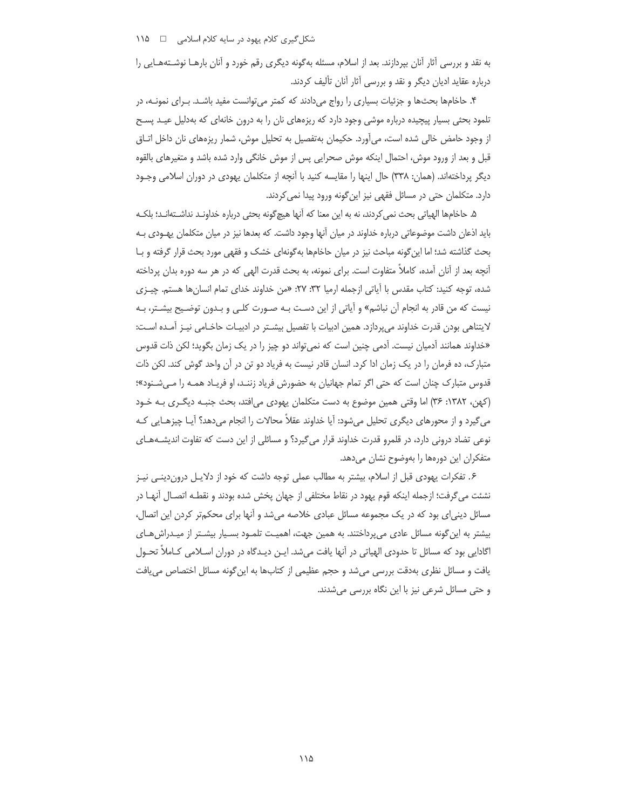به نقد و بررسی آثار آنان بیردازند. بعد از اسلام، مسئله بهگونه دیگری رقم خورد و آنان بارهـا نوشـتههـایی را درباره عقاید ادیان دیگر و نقد و بررسی آثار آنان تألیف کردند.

۴. حاخامها بحثها و جزئیات بسیاری را رواج میدادند که کمتر میتوانست مفید باشـد. بـرای نمونـه، در تلمود بحثی بسیار پیچیده درباره موشی وجود دارد که ریزههای نان را به درون خانهای که بهدلیل عیـد پسـح از وجود حامض خالی شده است، می آورد. حکیمان بهتفصیل به تحلیل موش، شمار ریزههای نان داخل اتــاق قبل و بعد از ورود موش، احتمال اینکه موش صحرایی پس از موش خانگی وارد شده باشد و متغیرهای بالقوه دیگر پرداختهاند. (همان: ٣٣٨) حال اینها را مقایسه کنید با آنچه از متکلمان یهودی در دوران اسلامی وجـود دارد. متكلمان حتى در مسائل فقهى نيز اين گونه ورود پيدا نمى كردند.

۵. حاخامها الهياتي بحث نمي كردند، نه به اين معنا كه آنها هيچ\$ونه بحثي درباره خداونـد نداشـتهانـد؛ بلكـه باید اذعان داشت موضوعاتی درباره خداوند در میان آنها وجود داشت. که بعدها نیز در میان متکلمان یه ودی بـه بحث گذاشته شد؛ اما این گونه مباحث نیز در میان حاخامها به گونهای خشک و فقهی مورد بحث قرار گرفته و بـا آنچه بعد از آنان آمده، کاملاً متفاوت است. برای نمونه، به بحث قدرت الهی که در هر سه دوره بدان پرداخته شده، توجه كنيد: كتاب مقدس با آياتي ازجمله ارميا ٣٢: ٢٧: «من خداوند خداي تمام انسانها هستم. چيـزي نیست که من قادر به انجام آن نباشم» و آیاتی از این دست بـه صـورت کلـی و بـدون توضـیح بیشـتر، بـه لایتناهی بودن قدرت خداوند میپردازد. همین ادبیات با تفصیل بیشـتر در ادبیـات حاخـامی نیـز آمـده اسـت: «خداوند همانند آدمیان نیست. آدمی چنین است که نمی¤واند دو چیز را در یک زمان بگوید؛ لکن ذات قدوس متبارک، ده فرمان را در یک زمان ادا کرد. انسان قادر نیست به فریاد دو تن در آن واحد گوش کند. لکن ذات قدوس متبارک چنان است که حتی اگر تمام جهانیان به حضورش فریاد زننـد، او فریـاد همـه را مـی.شـنود»؛ (کهن، ۱۳۸۲: ۳۶) اما وقتی همین موضوع به دست متکلمان یهودی می افتد، بحث جنبـه دیگـری بـه خـود می6گیرد و از محورهای دیگری تحلیل میشود: آیا خداوند عقلاً محالات را انجام میدهد؟ آیـا چیزهـایی کـه نوعی تضاد درونی دارد، در قلمرو قدرت خداوند قرار می گیرد؟ و مسائلی از این دست که تفاوت اندیشـههـای متفكران اين دورەها را بەوضوح نشان مىدهد.

۶. تفکرات یهودی قبل از اسلام، بیشتر به مطالب عملی توجه داشت که خود از دلایـل دروندینـی نیـز نشئت مي گرفت؛ ازجمله اينكه قوم يهود در نقاط مختلفي از جهان پخش شده بودند و نقطـه اتصـال آنهـا در مسائل دینی ای بود که در یک مجموعه مسائل عبادی خلاصه می شد و آنها برای محکمتر کردن این اتصال، بیشتر به این گونه مسائل عادی می پرداختند. به همین جهت، اهمیت تلمود بسیار بیشتر از میدراش های اگادایی بود که مسائل تا حدودی الهیاتی در آنها یافت می شد. ایـن دیـدگاه در دوران اسـلامی کـاملاً تحـول یافت و مسائل نظری بهدقت بررسی میشد و حجم عظیمی از کتابها به این گونه مسائل اختصاص می یافت و حتی مسائل شرعی نیز با این نگاه بررسی میشدند.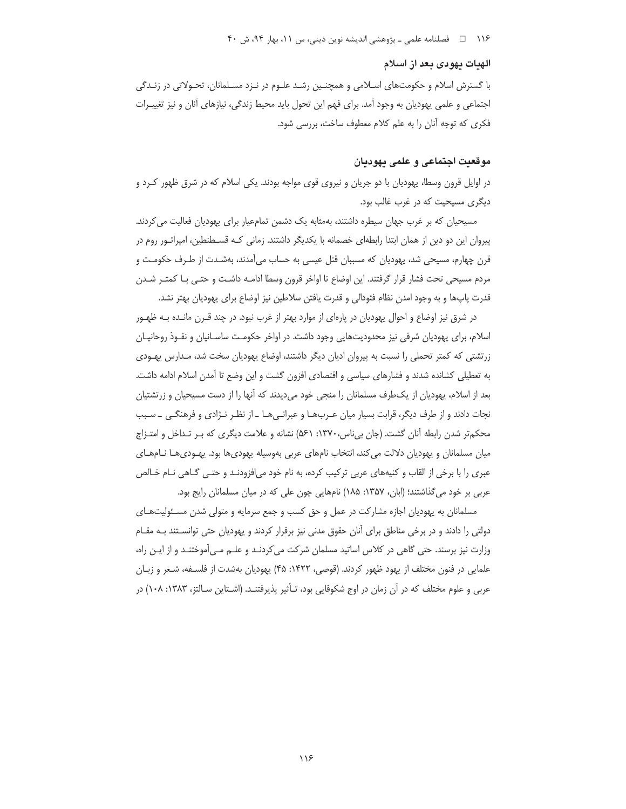۱۱۶ هـ المسلنامه علمي ـ پژوهشي انديشه نوين ديني، س ۱۱، بهار ۹۴، ش ۴۰

# الهيات يهودى بعد از اسلام

با گسترش اسلام و حکومتهای اسـلامی و همچنـین رشـد علـوم در نـزد مسـلمانان، تحـولاتی در زنـدگی اجتماعی و علمی یهودیان به وجود آمد. برای فهم این تحول باید محیط زندگی، نیازهای آنان و نیز تغییـرات فكرى كه توجه آنان را به علم كلام معطوف ساخت، بررسى شود.

# موقعيت اجتماعي و علمي يهوديان

در اوایل قرون وسطا، یهودیان با دو جریان و نیروی قوی مواجه بودند. یکی اسلام که در شرق ظهور کـرد و دیگری مسیحیت که در غرب غالب بود.

مسیحیان که بر غرب جهان سیطره داشتند، بهمثابه یک دشمن تمامعیار برای یهودیان فعالیت می کردند. پیروان این دو دین از همان ابتدا رابطهای خصمانه با یکدیگر داشتند. زمانی کـه قسـطنطین، امپراتـور روم در قرن چهارم، مسیحی شد، پهودیان که مسببان قتل عیسی به حساب می آمدند، بهشـدت از طـرف حکومـت و مردم مسيحي تحت فشار قرار گرفتند. اين اوضاع تا اواخر قرون وسطا ادامـه داشـت و حتـي بـا كمتـر شـدن قدرت پاپھا و به وجود امدن نظام فئودالی و قدرت یافتن سلاطین نیز اوضاع برای یهودیان بهتر نشد.

در شرق نیز اوضاع و احوال یهودیان در پارهای از موارد بهتر از غرب نبود. در چند قـرن مانـده بـه ظهـور اسلام، برای پهودیان شرقی نیز محدودیتهایی وجود داشت. در اواخر حکومت ساسـانیان و نفـوذ روحانیـان زرتشتی که کمتر تحملی را نسبت به پیروان ادیان دیگر داشتند، اوضاع یهودیان سخت شد، مـدارس یهـودی به تعطیلی کشانده شدند و فشارهای سیاسی و اقتصادی افزون گشت و این وضع تا آمدن اسلام ادامه داشت. بعد از اسلام، یهودیان از یک طرف مسلمانان را منجی خود می دیدند که آنها را از دست مسیحیان و زرتشتیان نجات دادند و از طرف دیگر، قرابت بسیار میان عـربهـا و عبرانـیهـا ـ از نظـر نـژادی و فرهنگـی ـ سـبب محکم تر شدن رابطه آنان گشت. (جان بی ناس، ۱۳۷۰: ۵۶۱) نشانه و علامت دیگری که بـر تـداخل و امتـزاج میان مسلمانان و یهودیان دلالت می کند، انتخاب نامهای عربی بهوسیله یهودیها بود. یهـودیهـا نـامهـای عبري را با برخي از القاب و كنيههاي عربي تركيب كرده، به نام خود مي|فزودنـد و حتـي گـاهي نـام خـالص عربی بر خود میگذاشتند؛ (ابان، ۱۳۵۷: ۱۸۵) نامهایی چون علی که در میان مسلمانان رایج بود.

مسلمانان به یهودیان اجازه مشارکت در عمل و حق کسب و جمع سرمایه و متولی شدن مسـئولیتهـای دولتی را دادند و در برخی مناطق برای آنان حقوق مدنی نیز برقرار کردند و یهودیان حتی توانسـتند بـه مقـام وزارت نیز برسند. حتی گاهی در کلاس اساتید مسلمان شرکت میکردنـد و علـم مـی|مَوختنـد و از ایـن راه، علمایی در فنون مختلف از یهود ظهور کردند. (قوصی، ۱۴۲۲: ۴۵) یهودیان بهشدت از فلسـفه، شـعر و زبـان عربی و علوم مختلف که در آن زمان در اوج شکوفایی بود، تـأثیر پذیرفتنـد. (اشـتاین سـالتز، ۱۳۸۳: ۱۰۸) در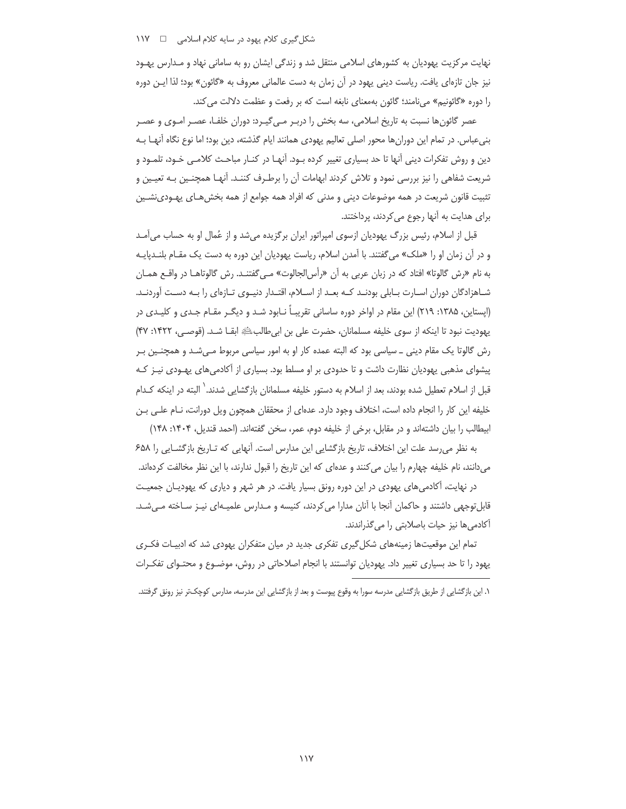نهایت مرکزیت یهودیان به کشورهای اسلامی منتقل شد و زندگی ایشان رو به سامانی نهاد و مـدارس یهـود نیز جان تازهای یافت. ریاست دینی یهود در آن زمان به دست عالمانی معروف به «گائون» بود؛ لذا ایـن دوره را دوره «گائونیم» میiامند؛ گائون بهمعنای نابغه است که بر رفعت و عظمت دلالت می کند.

عصر گائونها نسبت به تاریخ اسلامی، سه بخش را دربـر مـی گیـرد: دوران خلفـا، عصـر امـوی و عصـر بنیعباس. در تمام این دورانِ ها محور اصلی تعالیم یهودی همانند ایام گذشته، دین بود؛ اما نوع نگاه اَنهـا بـه دین و روش تفکرات دینی آنها تا حد بسیاری تغییر کرده بـود. آنهـا در کنـار مباحـث کلامـی خـود، تلمـود و شریعت شفاهی را نیز بررسی نمود و تلاش کردند ابهامات آن را برطـرف کننـد. آنهـا همچنـین بـه تعیـین و تثبیت قانون شریعت در همه موضوعات دینی و مدنی که افراد همه جوامع از همه بخش هـای پهـودی:شـین برای هدایت به آنها رجوع می کردند، پرداختند.

قبل از اسلام، رئیس بزرگ یهودیان ازسوی امپراتور ایران برگزیده میشد و از عُمال او به حساب میآمد و در آن زمان او را «ملک» می گفتند. با آمدن اسلام، ریاست یهودیان این دوره به دست یک مقـام بلنـدپایـه به نام «رش گالوتا» افتاد که در زبان عربی به آن «رأس|لجالوت» مـی6گفتنـد. رش گالوتاهــا در واقــع همــان شـاهزادگان دوران اسـارت بـابلي بودنـد كـه بعـد از اسـلام، اقتـدار دنيـوي تـازهاي را بـه دسـت آوردنـد. (اپستاین، ۱۳۸۵: ۲۱۹) این مقام در اواخر دوره ساسانی تقریبـاً نـابود شـد و دیگـر مقـام جـدی و کلیـدی در يهوديت نبود تا اينكه از سوى خليفه مسلمانان، حضرت على بن ابي طالبﷺ ابقــا شــد. (قوصــي، ١۴٢٢: ۴٧) رش گالوتا یک مقام دینی \_ سیاسی بود که البته عمده کار او به امور سیاسی مربوط مـیشـد و همچنـین بـر پیشوای مذهبی یهودیان نظارت داشت و تا حدودی بر او مسلط بود. بسیاری از آکادمیهای یهـودی نیـز کـه قبل از اسلام تعطیل شده بودند، بعد از اسلام به دستور خلیفه مسلمانان بازگشایی شدند. ٰ البته در اینکه کـدام خليفه اين كار را انجام داده است، اختلاف وجود دارد. عدهاى از محققان همچون ويل دورانت، نـام علـى بـن ابيطالب را بيان داشتهاند و در مقابل، برخي از خليفه دوم، عمر، سخن گفتهاند. (احمد قنديل، ۱۴۰۴: ۱۴۸)

به نظر میرسد علت این اختلاف، تاریخ بازگشایی این مدارس است. آنهایی که تـاریخ بازگشـایی را ۶۵۸ میدانند، نام خلیفه چهارم را بیان می کنند و عدهای که این تاریخ را قبول ندارند، با این نظر مخالفت کردهاند.

در نهایت، اکادمیهای یهودی در این دوره رونق بسیار یافت. در هر شهر و دیاری که یهودیـان جمعیـت قابلتوجهی داشتند و حاکمان آنجا با آنان مدارا می کردند، کنیسه و مـدارس علمیـهای نیـز سـاخته مـیشـد. آکادمی ها نیز حیات باصلابتی را می گذراندند.

تمام این موقعیتها زمینههای شکل گیری تفکری جدید در میان متفکران یهودی شد که ادبیـات فکـری یهود را تا حد بسیاری تغییر داد. یهودیان توانستند با انجام اصلاحاتی در روش، موضـوع و محتـوای تفکـرات

١. این بازگشایی از طریق بازگشایی مدرسه سورا به وقوع پیوست و بعد از بازگشایی این مدرسه، مدارس کوچکتر نیز رونق گرفتند.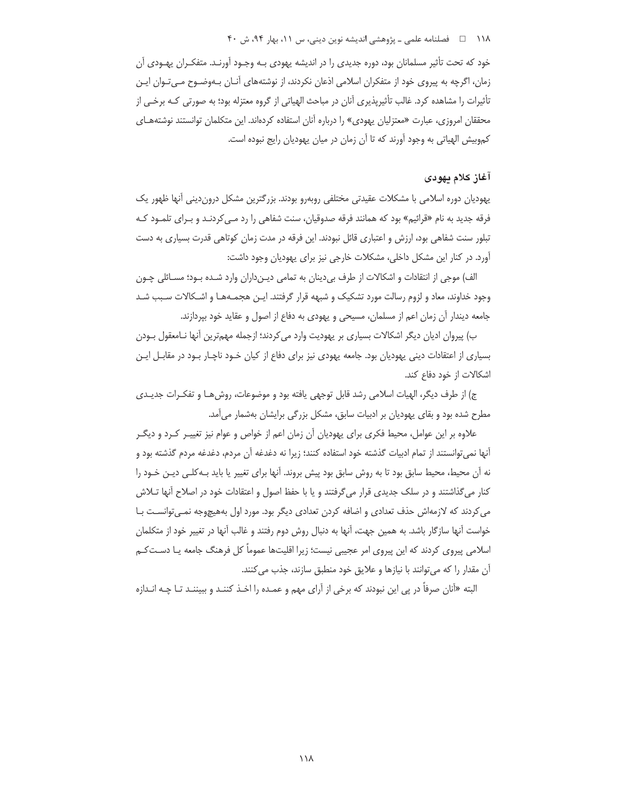# ۱۱۸ هـ المصلنامه علمي ـ پژوهشي انديشه نوين ديني، س ١١، بهار ٩۴، ش ۴۰

خود که تحت تأثیر مسلمانان بود، دوره جدیدی را در اندیشه پهودی بـه وجـود آورنـد. متفکـران پهـودی آن زمان، اگرچه به پیروی خود از متفکران اسلامی اذعان نکردند، از نوشتههای آنـان بـهوضـوح مـی تـوان ایـن تأثیرات را مشاهده کرد. غالب تأثیرپذیری آنان در مباحث الهیاتی از گروه معتزله بود؛ به صورتی کـه برخـی از محققان امروزی، عبارت «معتزلیان یهودی» را درباره آنان استفاده کردهاند. این متکلمان توانستند نوشتههـای کموبیش الهیاتی به وجود آورند که تا آن زمان در میان یهودیان رایج نبوده است.

#### آغاز كلام يهودي

یهودیان دوره اسلامی با مشکلات عقیدتی مختلفی روبهرو بودند. بزرگترین مشکل دروندینی آنها ظهور یک فرقه جدید به نام «قرائیم» بود که همانند فرقه صدوقیان، سنت شفاهی را رد مـی کردنـد و بـرای تلمـود کـه تبلور سنت شفاهی بود، ارزش و اعتباری قائل نبودند. این فرقه در مدت زمان کوتاهی قدرت بسیاری به دست آورد. در کنار این مشکل داخلی، مشکلات خارجی نیز برای یهودیان وجود داشت:

الف) موجی از انتقادات و اشکالات از طرف بی دینان به تمامی دیـن‹داران وارد شـده بـود؛ مسـائلی چـون وجود خداوند، معاد و لزوم رسالت مورد تشكيك و شبهه قرار گرفتند. ايـن هجمـهمـا و اشـكالات سـبب شـد جامعه دیندار آن زمان اعم از مسلمان، مسیحی و یهودی به دفاع از اصول و عقاید خود بپردازند.

ب) پیروان ادیان دیگر اشکالات بسیاری بر یهودیت وارد می کردند؛ ازجمله مهمترین آنها نـامعقول بـودن بسیاری از اعتقادات دینی یهودیان بود. جامعه یهودی نیز برای دفاع از کیان خـود ناچـار بـود در مقابـل ایـن اشکالات از خود دفاع کند.

ج) از طرف دیگر، الهیات اسلامی رشد قابل توجهی یافته بود و موضوعات، روش هـا و تفکـرات جدیـدی مطرح شده بود و بقای پهودیان بر ادبیات سابق، مشکل بزرگی برایشان بهشمار می آمد.

علاوه بر این عوامل، محیط فکری برای یهودیان آن زمان اعم از خواص و عوام نیز تغییـر کـرد و دیگـر آنها نمی توانستند از تمام ادبیات گذشته خود استفاده کنند؛ زیرا نه دغدغه آن مردم، دغدغه مردم گذشته بود و نه آن محیط، محیط سابق بود تا به روش سابق بود پیش بروند. آنها برای تغییر یا باید بـه کلـی دیـن خـود را کنار میگذاشتند و در سلک جدیدی قرار میگرفتند و یا با حفظ اصول و اعتقادات خود در اصلاح آنها تـلاش می کردند که لازمهاش حذف تعدادی و اضافه کردن تعدادی دیگر بود. مورد اول بههیچوجه نمـیتوانسـت بـا خواست آنها سازگار باشد. به همین جهت، آنها به دنبال روش دوم رفتند و غالب آنها در تغییر خود از متکلمان اسلامی پیروی کردند که این پیروی امر عجیبی نیست؛ زیرا اقلیتها عموماً کل فرهنگ جامعه یـا دسـتکـم آن مقدار را که می توانند با نیازها و علایق خود منطبق سازند، جذب می کنند.

البته «آنان صرفاً در پی این نبودند که برخی از آرای مهم و عمـده را اخـذ کننـد و ببیننـد تـا چـه انـدازه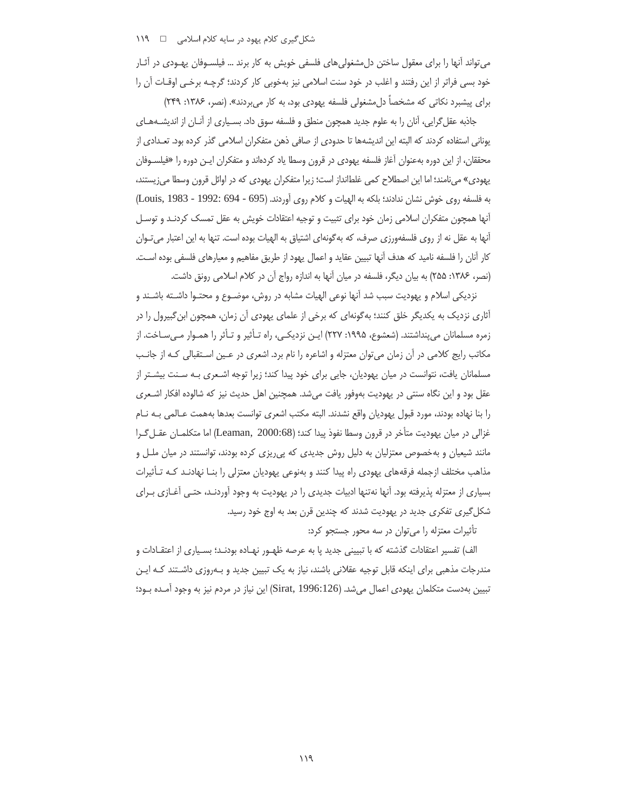می تواند آنها را برای معقول ساختن دل مشغولی های فلسفی خویش به کار برند … فیلسـوفان یهـودی در آثـار خود بسی فراتر از این رفتند و اغلب در خود سنت اسلامی نیز بهخوبی کار کردند؛ گرچـه برخـی اوقـات آن را برای پیشبرد نکاتی که مشخصاً دل مشغولی فلسفه یهودی بود، به کار میبردند». (نصر، ۱۳۸۶: ۲۴۹)

جاذبه عقل گرایی، آنان را به علوم جدید همچون منطق و فلسفه سوق داد. بسـیاری از آنــان از اندیشــههــای یونانی استفاده کردند که البته این اندیشهها تا حدودی از صافی ذهن متفکران اسلامی گذر کرده بود. تعـدادی از محققان، از این دوره بهعنوان آغاز فلسفه یهودی در قرون وسطا یاد کردهاند و متفکران ایـن دوره را «فیلسـوفان یهودی» میiامند؛ اما این اصطلاح کمی غلطانداز است؛ زیرا متفکران یهودی که در اوائل قرون وسطا میزیستند، به فلسفه روى خوش نشان ندادند؛ بلكه به الهيات و كلام روى آوردند. (695 - 1992: 1983 - Louis, 1983) آنها همچون متفکران اسلامی زمان خود برای تثبیت و توجیه اعتقادات خویش به عقل تمسک کردنـد و توسـل آنها به عقل نه از روی فلسفهورزی صرف، که بهگونهای اشتیاق به الهیات بوده است. تنها به این اعتبار می تـوان كار أنان را فلسفه ناميد كه هدف آنها تبيين عقايد و اعمال يهود از طريق مفاهيم و معيارهاي فلسفى بوده است. (نصر، ۱۳۸۶: ۲۵۵) به بیان دیگر، فلسفه در میان آنها به اندازه رواج آن در کلام اسلامی رونق داشت.

نزدیکی اسلام و یهودیت سبب شد آنها نوعی الهیات مشابه در روش، موضـوع و محتـوا داشـته باشـند و آثاری نزدیک به یکدیگر خلق کنند؛ بهگونهای که برخی از علمای یهودی آن زمان، همچون ابن گبیرول را در زمره مسلمانان می پنداشتند. (شعشوع، ۱۹۹۵: ۲۲۷) ایـن نزدیکـی، راه تـأثیر و تـأثر را همـوار مـیسـاخت. از مکاتب رایج کلامی در آن زمان می توان معتزله و اشاعره را نام برد. اشعری در عـین اسـتقبالی کـه از جانـب مسلمانان یافت، نتوانست در میان یهودیان، جایی برای خود پیدا کند؛ زیرا توجه اشـعری بـه سـنت بیشـتر از عقل بود و این نگاه سنتی در پهودیت بهوفور یافت میشد. همچنین اهل حدیث نیز که شالوده افکار اشـعری را بنا نهاده بودند، مورد قبول يهوديان واقع نشدند. البته مكتب اشعرى توانست بعدها بههمت عـالمي بـه نـام غزالي در ميان يهوديت متأخر در قرون وسطا نفوذ پيدا كند؛ (Leaman, 2000:68) اما متكلمـان عقـل گـرا مانند شیعیان و بهخصوص معتزلیان به دلیل روش جدیدی که پی ریزی کرده بودند، توانستند در میان ملـل و مذاهب مختلف ازجمله فرقههای یهودی راه پیدا کنند و بهنوعی یهودیان معتزلی را بنـا نهادنـد کـه تـأثیرات بسیاری از معتزله پذیرفته بود. آنها نهتنها ادبیات جدیدی را در یهودیت به وجود آوردنـد، حتـی آغــازی بــرای شکل گیری تفکری جدید در یهودیت شدند که چندین قرن بعد به اوج خود رسید.

تأثیرات معتزله را می توان در سه محور جستجو کرد:

الف) تفسیر اعتقادات گذشته که با تبیینی جدید پا به عرصه ظهـور نهـاده بودنـد؛ بسـیاری از اعتقـادات و مندرجات مذهبی برای اینکه قابل توجیه عقلانی باشند، نیاز به یک تبیین جدید و بـهروزی داشـتند کـه ایـن تبيين بهدست متكلمان يهودي اعمال ميشد. (Sirat, 1996:126) اين نياز در مردم نيز به وجود آمـده بـود؛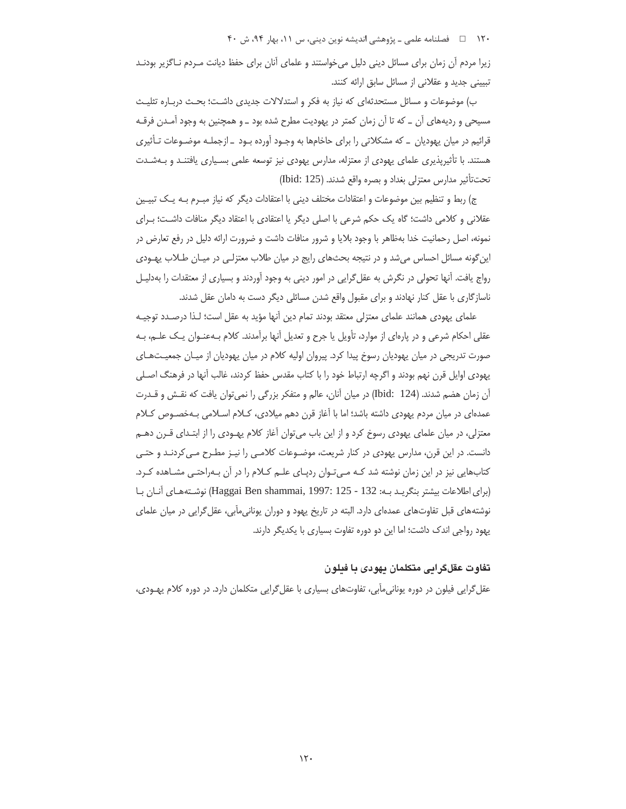۱۲۰ □ فصلنامه علمی ـ پژوهشی اندیشه نوین دینی، س ۱۱، بهار ۹۴، ش ۴۰

زیرا مردم آن زمان برای مسائل دینی دلیل می خواستند و علمای آنان برای حفظ دیانت مـردم نـاگزیر بودنـد تبیینی جدید و عقلانی از مسائل سابق ارائه کنند.

ب) موضوعات و مسائل مستحدثهای که نیاز به فکر و استدلالات جدیدی داشت؛ بحـث دربـاره تثلیـث مسیحی و ردیههای آن \_ که تا آن زمان کمتر در یهودیت مطرح شده بود \_ و همچنین به وجود آمـدن فرقـه قرائیم در میان یهودیان \_ که مشکلاتی را برای حاخامها به وجـود آورده بـود \_ ازجملـه موضـوعات تـأثیری هستند. با تأثیرپذیری علمای یهودی از معتزله، مدارس یهودی نیز توسعه علمی بسیاری یافتنـد و بـهشـدت تحت تأثير مدارس معتزلي بغداد و بصره واقع شدند. (Ibid: 125)

ج) ربط و تنظیم بین موضوعات و اعتقادات مختلف دینی با اعتقادات دیگر که نیاز مبـرم بـه یـک تبیـین عقلانی و کلامی داشت؛ گاه یک حکم شرعی با اصلی دیگر یا اعتقادی با اعتقاد دیگر منافات داشت؛ بـرای نمونه، اصل رحمانیت خدا بهظاهر با وجود بلایا و شرور منافات داشت و ضرورت ارائه دلیل در رفع تعارض در این گونه مسائل احساس می شد و در نتیجه بحثهای رایج در میان طلاب معتزلی در میـان طـلاب پهـودی رواج یافت. آنها تحولی در نگرش به عقل گرایی در امور دینی به وجود آوردند و بسیاری از معتقدات را بهدلیـل ناسازگاری با عقل کنار نهادند و برای مقبول واقع شدن مسائلی دیگر دست به دامان عقل شدند.

علمای یهودی همانند علمای معتزلی معتقد بودند تمام دین آنها مؤید به عقل است؛ لـذا درصـدد توجیـه عقلی احکام شرعی و در پارهای از موارد، تأویل یا جرح و تعدیل آنها برآمدند. کلام بـهعنـوان یـک علـم، بـه صورت تدریجی در میان یهودیان رسوخ پیدا کرد. پیروان اولیه کلام در میان یهودیان از میـان جمعیـتهـای یهودی اوایل قرن نهم بودند و اگرچه ارتباط خود را با کتاب مقدس حفظ کردند، غالب آنها در فرهنگ اصـلی آن زمان هضم شدند. (Ibid: 124) در میان آنان، عالم و متفکر بزرگی را نمی توان یافت که نقش و قـدرت عمدهای در میان مردم یهودی داشته باشد؛ اما با آغاز قرن دهم میلادی، کـلام اسـلامی بـهخصـوص کـلام معتزلی، در میان علمای یهودی رسوخ کرد و از این باب می¤وان آغاز کلام یهـودی را از ابتـدای قــرن دهــم دانست. در این قرن، مدارس یهودی در کنار شریعت، موضـوعات کلامـی را نیـز مطـرح مـی کردنـد و حتـی کتابهایی نیز در این زمان نوشته شد کـه مـیتـوان ردپـای علـم کـلام را در آن بـهراحتـی مشــاهده کـرد. (براي اطلاعات بيشتر بنگريـد بـه: Haggai Ben shammai, 1997: 125 - 132) نوشـتههـاي آنـان بـا نوشته های قبل تفاوتهای عمدهای دارد. البته در تاریخ یهود و دوران یونانیمآبی، عقل گرایی در میان علمای یهود رواجی اندک داشت؛ اما این دو دوره تفاوت بسیاری با یکدیگر دارند.

# تفاوت عقلگرانی متکلمان نهودی با فنلون

عقل گرایی فیلون در دوره یونانی،آبی، تفاوتهای بسیاری با عقل گرایی متکلمان دارد. در دوره کلام یهـودی،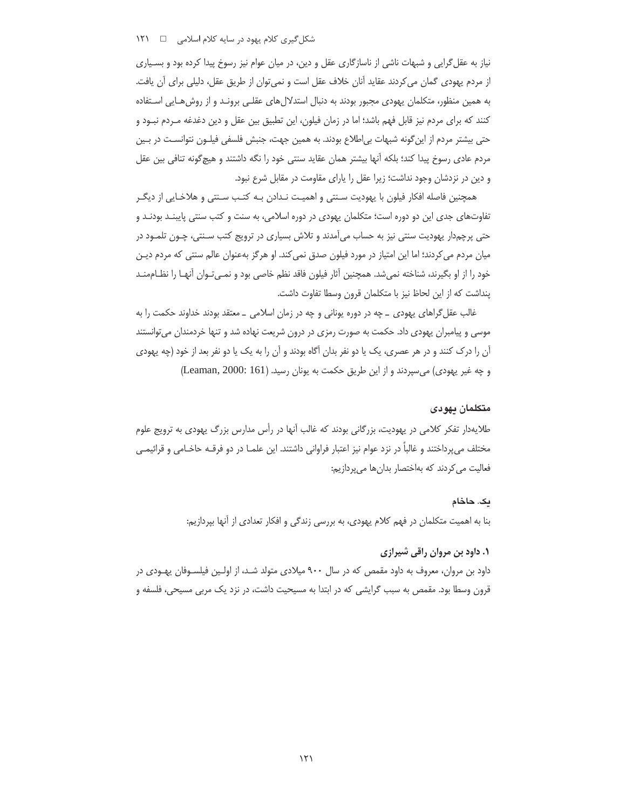نیاز به عقل گرایی و شبهات ناشی از ناسازگاری عقل و دین، در میان عوام نیز رسوخ پیدا کرده بود و بسـیاری از مردم یهودی گمان می کردند عقاید آنان خلاف عقل است و نمی توان از طریق عقل، دلیلی برای آن یافت. به همین منظور، متکلمان یهودی مجبور بودند به دنبال استدلالهای عقلـی برونـد و از روشهـایی اسـتفاده کنند که برای مردم نیز قابل فهم باشد؛ اما در زمان فیلون، این تطبیق بین عقل و دین دغدغه مـردم نبــود و حتی بیشتر مردم از این گونه شبهات بی|طلاع بودند. به همین جهت، جنبش فلسفی فیلـون نتوانسـت در بـین مردم عادی رسوخ پیدا کند؛ بلکه آنها بیشتر همان عقاید سنتی خود را نگه داشتند و هیچگونه تنافی بین عقل و دین در نزدشان وجود نداشت؛ زیرا عقل را یارای مقاومت در مقابل شرع نبود.

همچنین فاصله افکار فیلون با یهودیت سـنتی و اهمیـت نـدادن بـه کتـب سـنتی و هلاخـایی از دیگـر تفاوتهای جدی این دو دوره است؛ متکلمان یهودی در دوره اسلامی، به سنت و کتب سنتی پایبنـد بودنـد و حتی پرچمدار یهودیت سنتی نیز به حساب میآمدند و تلاش بسیاری در ترویج کتب سـنتی، چـون تلمـود در میان مردم می کردند؛ اما این امتیاز در مورد فیلون صدق نمی کند. او هر گز بهعنوان عالم سنتی که مردم دیـن خود را از او بگیرند، شناخته نمیشد. همچنین آثار فیلون فاقد نظم خاصی بود و نمـیتـوان أنهـا را نظــاممنــد ينداشت كه از اين لحاظ نيز با متكلمان قرون وسطا تفاوت داشت.

غالب عقل گراهای یهودی \_ چه در دوره یونانی و چه در زمان اسلامی \_ معتقد بودند خداوند حکمت را به موسی و پیامبران یهودی داد. حکمت به صورت رمزی در درون شریعت نهاده شد و تنها خردمندان می توانستند آن را درک کنند و در هر عصری، یک یا دو نفر بدان آگاه بودند و آن را به یک یا دو نفر بعد از خود (چه یهودی و چه غیر یهودی) می سپردند و از این طریق حکمت به یونان رسید. (Leaman, 2000: 161)

#### متكلمان يهودى

طلایهدار تفکر کلامی در یهودیت، بزرگانی بودند که غالب آنها در رأس مدارس بزرگ یهودی به ترویج علوم مختلف میپرداختند و غالباً در نزد عوام نیز اعتبار فراوانی داشتند. این علمـا در دو فرقــه حاخــامی و قرائیمــی فعالیت می کردند که بهاختصار بدانها می پردازیم:

#### یک. حاخام

بنا به اهمیت متکلمان در فهم کلام یهودی، به بررسی زندگی و افکار تعدادی از آنها بپردازیم:

# **۱. داود بن مروان راقی شیرازی**

داود بن مروان، معروف به داود مقمص که در سال ۹۰۰ میلادی متولد شـد، از اولـین فیلسـوفان یهـودی در قرون وسطا بود. مقمص به سبب گرایشی که در ابتدا به مسیحیت داشت، در نزد یک مربی مسیحی، فلسفه و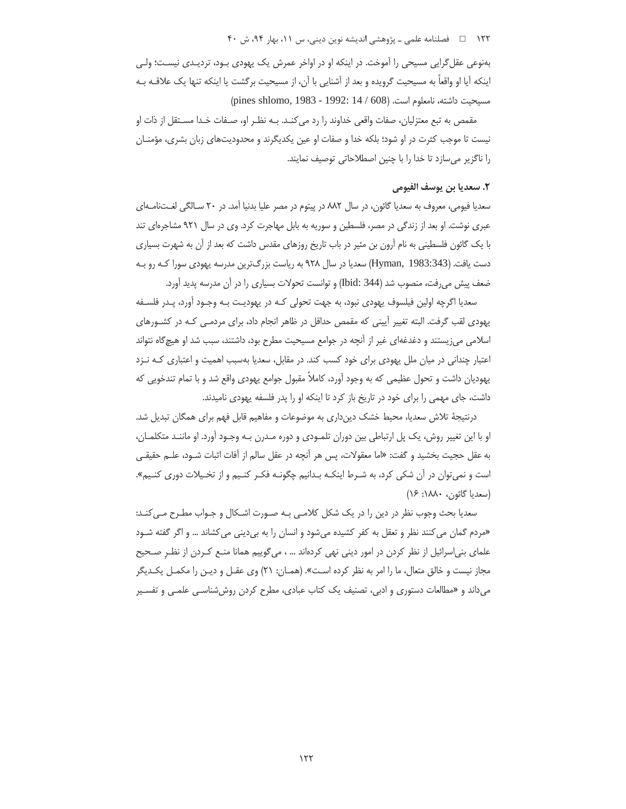۱۲۲ □ فصلنامه علمي ــ پژوهشي انديشه نوين ديني، س ١١، بهار ٩۴، ش ۴۰

بهنوعي عقل گرايي مسيحي را آموخت. در اينكه او در اواخر عمرش يک پهودي بـود، ترديـدي نيسـت؛ ولـي اینکه آیا او واقعاً به مسیحیت گرویده و بعد از آشنایی با آن، از مسیحیت برگشت یا اینکه تنها یک علاقـه بـه (pines shlomo, 1983 - 1992: 14 / 608) مسيحيت داشته، نامعلوم است. (608)

مقمص به تبع معتزلیان، صفات واقعی خداوند را رد می کنـد. بـه نظـر او، صـفات خـدا مسـتقل از ذات او نیست تا موجب کثرت در او شود؛ بلکه خدا و صفات او عین یکدیگرند و محدودیتهای زبان بشری، مؤمنـان را ناگزیر می سازد تا خدا را با چنین اصطلاحاتی توصیف نمایند.

# ٢. سعديا بن يوسف الفيومي

سعدیا فیومی، معروف به سعدیا گائون، در سال ۸۸۲ در پیتوم در مصر علیا بدنیا آمد. در ۲۰ سـالگی لغـتنامـهای عبری نوشت. او بعد از زندگی در مصر، فلسطین و سوریه به بابل مهاجرت کرد. وی در سال ۹۲۱ مشاجرهای تند با یک گائون فلسطینی به نام آرون بن مئیر در باب تاریخ روزهای مقدس داشت که بعد از آن به شهرت بسیاری دست یافت. (Hyman, 1983:343) سعدیا در سال ۹۲۸ به ریاست بزرگترین مدرسه یهودی سورا کـه رو بـه ضعف پیش می رفت، منصوب شد (Ibid: 344) و توانست تحولات بسیاری را در آن مدرسه یدید آورد.

سعدیا اگرچه اولین فیلسوف یهودی نبود، به جهت تحولی کـه در یهودیـت بـه وجـود آورد، پـدر فلسـفه یهودی لقب گرفت. البته تغییر آیینی که مقمص حداقل در ظاهر انجام داد، برای مردمـی کـه در کشـورهای اسلامی می;یستند و دغدغهای غیر از آنچه در جوامع مسیحیت مطرح بود، داشتند، سبب شد او هیچگاه نتواند اعتبار چندانی در میان ملل یهودی برای خود کسب کند. در مقابل، سعدیا بهسبب اهمیت و اعتباری کـه نـزد یهودیان داشت و تحول عظیمی که به وجود آورد، کاملاً مقبول جوامع یهودی واقع شد و با تمام تندخویی که داشت، جای مهمی را برای خود در تاریخ باز کرد تا اینکه او را پدر فلسفه یهودی نامیدند.

درنتیجهٔ تلاش سعدیا، محیط خشک دین داری به موضوعات و مفاهیم قابل فهم برای همگان تبدیل شد. او با این تغییر روش، یک پل ارتباطی بین دوران تلمـودی و دوره مـدرن بـه وجـود آورد. او ماننـد متکلمـان، به عقل حجیت بخشید و گفت: «اما معقولات، پس هر آنچه در عقل سالم از آفات اثبات شــود، علــم حقیقــی است و نمی توان در آن شکی کرد، به شـرط اینکـه بـدانیم چگونـه فکـر کنـیم و از تخـیلات دوری کنـیم». (سعديا گائون، ١٨٨٠: ١۶)

سعدیا بحث وجوب نظر در دین را در یک شکل کلامبی بـه صـورت اشـکال و جـواب مطـرح مـی کنـد: «مردم گمان می کنند نظر و تعقل به کفر کشیده میشود و انسان را به بیدینی می کشاند … و اگر گفته شـود علمای بنی|سرائیل از نظر کردن در امور دینی نهی کردهاند … ، می¢وییم همانا منـع کـردن از نظـر صـحیح مجاز نیست و خالق متعال، ما را امر به نظر کرده است». (همـان: ۲۱) وی عقـل و دیـن را مکمـل یکـدیگر میداند و «مطالعات دستوری و ادبی، تصنیف یک کتاب عبادی، مطرح کردن روششناسی علمی و تفسیر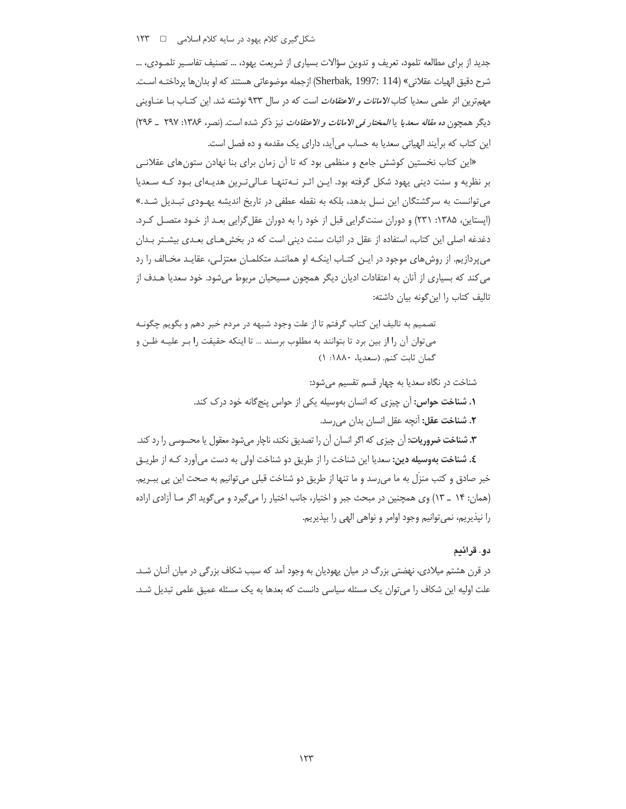جدید از برای مطالعه تلمود، تعریف و تدوین سؤالات بسیاری از شریعت یهود، … تصنیف تفاسیر تلمـودی، … شرح دقيق الهيات عقلاني» (Sherbak, 1997: 114) ازجمله موضوعاتي هستند كه او بدانِ ها پرداختـه اسـت. مهمترین اثر علمی سعدیا کتاب *الامانات و الاعتقادات* است که در سال ۹۳۳ نوشته شد. این کتـاب بــا عنــاوینـی ديگر همچون ده *مقاله سعديا يا المختار في الامانات و الاعتقادات* نيز ذكر شده است. (نصر، ۱۳۸۶: ۲۹۷ \_ ۲۹۶) این کتاب که برآیند الهیاتی سعدیا به حساب میآید، دارای یک مقدمه و ده فصل است.

«این کتاب نخستین کوشش جامع و منظمی بود که تا آن زمان برای بنا نهادن ستون های عقلانی بر نظریه و سنت دینی یهود شکل گرفته بود. ایـن اثـر نـه تنهـا عـالی تـرین هدیـهای بـود کـه سـعدیا می توانست به سرگشتگان این نسل بدهد، بلکه به نقطه عطفی در تاریخ اندیشه یهـودی تبـدیل شـد.» (ایستاین، ۱۳۸۵: ۲۳۱) و دوران سنت گرایی قبل از خود را به دوران عقل گرایی بعـد از خـود متصـل کـرد. دغدغه اصلی این کتاب، استفاده از عقل در اثبات سنت دینی است که در بخش هـای بعـدی بیشــتر بــدان میپردازیم. از روش های موجود در ایـن کتـاب اینکـه او هماننـد متکلمـان معتزلـی، عقایـد مخـالف را رد می کند که بسیاری از آنان به اعتقادات ادیان دیگر همچون مسیحیان مربوط میشود. خود سعدیا هـدف از تاليف كتاب را اين گونه بيان داشته:

تصمیم به تالیف این کتاب گرفتم تا از علت وجود شبهه در مردم خبر دهم و بگویم چگونـه می توان آن را از بین برد تا بتوانند به مطلوب برسند … تا اینکه حقیقت را بـر علیــه ظــن و گمان ثابت كنم. (سعديا، ١٨٨٠: ١)

شناخت در نگاه سعدیا به چهار قسم تقسیم میشود: **۱. شناخت حواس:** اَن چیزی که انسان بهوسیله یکی از حواس پنجگانه خود درک کند. ٢. شناخت عقل: آنچه عقل انسان بدان مى رسد. **٣. شناخت ضروریات:** اَن چیزی که اگر انسان اَن را تصدیق نکند، ناچار می شود معقول یا محسوسی را رد کند. **٤. شناخت بهوسیله دین:** سعدیا این شناخت را از طریق دو شناخت اولی به دست میآورد کـه از طریـق خبر صادق و کتب منزل به ما می٫سد و ما تنها از طریق دو شناخت قبلی میتوانیم به صحت این پی بب\_یم.

را نپذیریم، نمی توانیم وجود اوامر و نواهی الهی را بپذیریم.

# دو. قرائيم

در قرن هشتم میلادی، نهضتی بزرگ در میان پهودیان به وجود آمد که سبب شکاف بزرگی در میان آنـان شـد. علت اولیه این شکاف را می توان یک مسئله سیاسی دانست که بعدها به یک مسئله عمیق علمی تبدیل شـد.

(همان: ۱۴ \_ ۱۳) وی همچنین در مبحث جبر و اختیار، جانب اختیار را می گیرد و می گوید اگر مـا آزادی اراده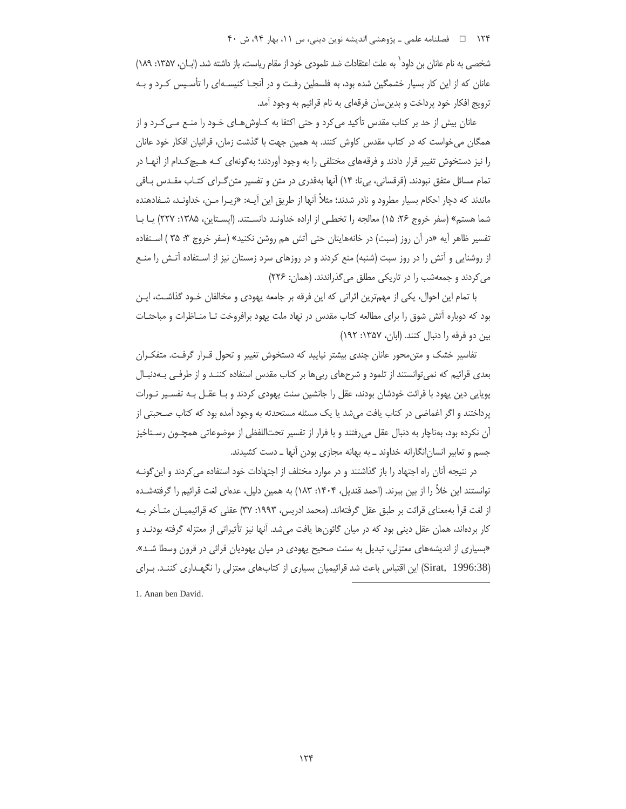۱۲۴ هـ المصلنامه علمي ـ پژوهشي انديشه نوين ديني، س ۱۱، بهار ۹۴، ش ۴۰

شخصی به نام عانان بن داود` به علت اعتقادات ضد تلمودی خود از مقام ریاست، باز داشته شد. (ابــان، ۱۳۵۷: ۱۸۹) عانان که از این کار بسیار خشمگین شده بود، به فلسطین رفت و در آنجـا کنیسـهای را تأسـیس کـرد و بـه ترويج افكار خود پرداخت و بدينٍسان فرقهاي به نام قرائيم به وجود آمد.

عانان بیش از حد بر کتاب مقدس تأکید می کرد و حتی اکتفا به کـاوش هـای خـود را منـع مـی کـرد و از همگان می خواست که در کتاب مقدس کاوش کنند. به همین جهت با گذشت زمان، قرائیان افکار خود عانان را نیز دستخوش تغییر قرار دادند و فرقههای مختلفی را به وجود آوردند؛ بهگونهای کـه هـیچکـدام از آنهـا در تمام مسائل متفق نبودند. (قرقسانی، بی تا: ١۴) آنها بهقدری در متن و تفسیر متن گـرای کتـاب مقـدس بـاقی ماندند که دچار احکام بسیار مطرود و نادر شدند؛ مثلاً آنها از طریق این آیـه: «زیـرا مـن، خداونـد، شـفادهنده شما هستم» (سفر خروج ٢۶: ١۵) معالجه را تخطي از اراده خداونـد دانسـتند. (ايسـتاين، ١٣٨۵: ٢٢٧) يـا بـا تفسير ظاهر آيه «در آن روز (سبت) در خانههايتان حتى آتش هم روشن نكنيد» (سفر خروج ٣: ٣۵ ) اسـتفاده از روشنایی و آتش را در روز سبت (شنبه) منع کردند و در روزهای سرد زمستان نیز از اسـتفاده آتـش را منـع می کردند و جمعهشب را در تاریکی مطلق می گذراندند. (همان: ۲۲۶)

با تمام این احوال، یکی از مهمترین اثراتی که این فرقه بر جامعه یهودی و مخالفان خـود گذاشـت، ایـن بود که دوباره آتش شوق را برای مطالعه کتاب مقدس در نهاد ملت یهود برافروخت تـا منـاظرات و مباحثـات بین دو فرقه را دنبال کنند. (ابان، ۱۳۵۷: ۱۹۲)

تفاسیر خشک و متن محور عانان چندی بیشتر نپایید که دستخوش تغییر و تحول قـرار گرفـت. متفکـران بعدی قرائیم که نمی توانستند از تلمود و شرحهای ربی ها بر کتاب مقدس استفاده کننـد و از طرفـی بـهدنبـال پویایی دین یهود با قرائت خودشان بودند، عقل را جانشین سنت یهودی کردند و بـا عقـل بـه تفسـیر تـورات پرداختند و اگر اغماضی در کتاب یافت میشد یا یک مسئله مستحدثه به وجود آمده بود که کتاب صـحبتی از آن نكرده بود، بهناچار به دنبال عقل مىرفتند و با فرار از تفسير تحتاللفظى از موضوعاتى همچـون رسـتاخيز جسم و تعابیر انسان انگارانه خداوند ـ به بهانه مجازی بودن آنها ـ دست کشیدند.

در نتیجه آنان راه اجتهاد را باز گذاشتند و در موارد مختلف از اجتهادات خود استفاده می کردند و این گونـه توانستند این خلأ را از بین ببرند. (احمد قندیل، ۱۴۰۴: ۱۸۳) به همین دلیل، عدمای لغت قرائیم را گرفتهشـده از لغت قرأ بهمعناي قرائت بر طبق عقل گرفتهاند. (محمد ادريس، ١٩٩٣: ٣٧) عقلي كه قرائيميــان متــأخر بــه کار بردهاند، همان عقل دینی بود که در میان گائونها یافت میشد. آنها نیز تأثیراتی از معتزله گرفته بودنـد و «بسیاری از اندیشههای معتزلی، تبدیل به سنت صحیح یهودی در میان یهودیان قرائی در قرون وسطا شـد». (Sirat, 1996:38) این اقتباس باعث شد قرائیمیان بسیاری از کتابهای معتزلی را نگهـداری کننـد. بـرای

1. Anan ben David.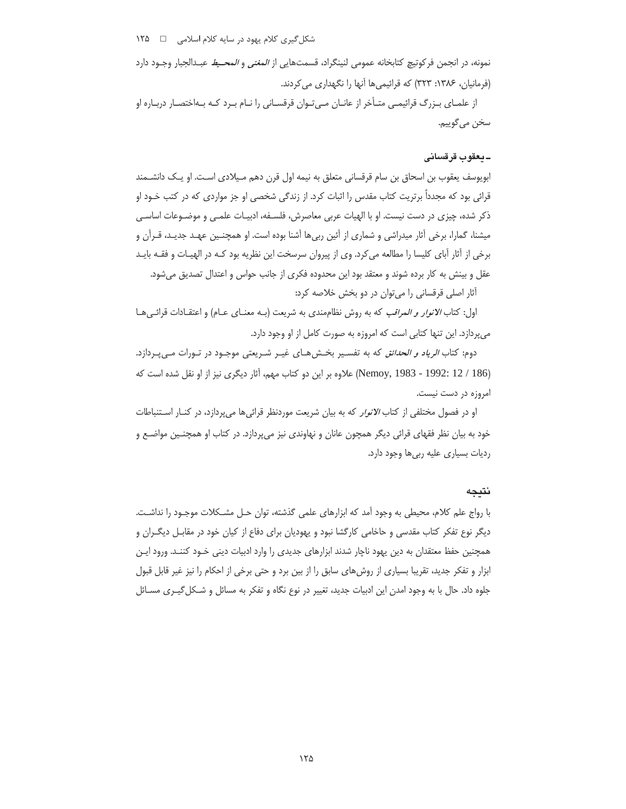نمونه، در انجمن فركوتيچ كتابخانه عمومي لنينگراد، قسمتهايي از *المغني و المحـيط* عبـدالجبار وجـود دارد (فرمانیان، ۱۳۸۶: ۳۲۳) که قرائیمی ها آنها را نگهداری می کردند.

از علمـاي بــزرگ قرائيمــي متــأخر از عانــان مــيتــوان قرقســاني را نــام بــرد كــه بــهاختصـار دربــاره او سخن مي گوييم.

# ـيعقوب قرقسانى

ابويوسف يعقوب بن اسحاق بن سام قرقساني متعلق به نيمه اول قرن دهم مـيلادي اسـت. او يـك دانشــمند قرائی بود که مجدداً برتریت کتاب مقدس را اثبات کرد. از زندگی شخصی او جز مواردی که در کتب خــود او ذکر شده، چیزی در دست نیست. او با الهیات عربی معاصرش، فلسـفه، ادبیـات علمـی و موضـوعات اساسـی میشنا، گمارا، برخی آثار میدراشی و شماری از آئین ربیها آشنا بوده است. او همچنـین عهـد جدیـد، قـرآن و برخی از آثار آبای کلیسا را مطالعه میکرد. وی از پیروان سرسخت این نظریه بود کـه در الهیـات و فقـه بایـد عقل و بینش به کار برده شوند و معتقد بود این محدوده فکری از جانب حواس و اعتدال تصدیق میشود.

آثار اصلی قرقسانی را می توان در دو بخش خلاصه کرد:

اول: کتاب *الانوار و المراقب* که به روش نظامِمندی به شریعت (بـه معنــای عــام) و اعتقــادات قرائــیهــا می پردازد. این تنها کتابی است که امروزه به صورت کامل از او وجود دارد.

دوم: کتاب *الرياد و الحدائق* که به تفسير بخشهاى غيـر شـريعتى موجـود در تـورات مـى پـردازد. (Nemoy, 1983 - 1992: 12 / 186) علاوه بر این دو کتاب مهم، آثار دیگری نیز از او نقل شده است که امروزه در دست نیست.

او در فصول مختلفی از کتاب *الانوار* که به بیان شریعت موردنظر قرائیها میپردازد، در کنـار اسـتنباطات خود به بیان نظر فقهای قرائی دیگر همچون عانان و نهاوندی نیز میپردازد. در کتاب او همچنـین مواضـع و ردیات بسیاری علیه ربیها وجود دارد.

#### نتيجه

با رواج علم كلام، محيطي به وجود آمد كه ابزارهاي علمي گذشته، توان حـل مشـكلات موجـود را نداشـت. دیگر نوع تفکر کتاب مقدسی و حاخامی کارگشا نبود و یهودیان برای دفاع از کیان خود در مقابـل دیگـران و همچنین حفظ معتقدان به دین یهود ناچار شدند ابزارهای جدیدی را وارد ادبیات دینی خـود کننـد. ورود ایـن ابزار و تفكر جديد، تقريبا بسياري از روش هاي سابق را از بين برد و حتى برخي از احكام را نيز غير قابل قبول جلوه داد. حال با به وجود امدن این ادبیات جدید، تغییر در نوع نگاه و تفکر به مسائل و شـکل گیــری مســائل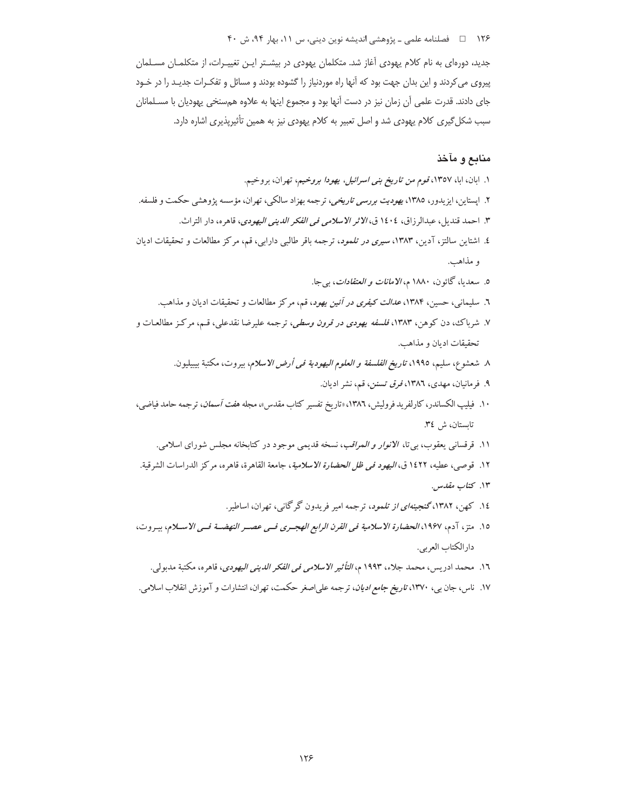## ۱۲۶ هـ المصلنامه علمي ـ پژوهشي انديشه نوين ديني، س ١١، بهار ٩۴، ش ۴۰

جدید، دورهای به نام کلام یهودی آغاز شد. متکلمان یهودی در بیشـتر ایـن تغییـرات، از متکلمـان مسـلمان پیروی می کردند و این بدان جهت بود که آنها راه موردنیاز را گشوده بودند و مسائل و تفکـرات جدیـد را در خـود جای دادند. قدرت علمی آن زمان نیز در دست آنها بود و مجموع اینها به علاوه همسنخی یهودیان با مسـلمانان سبب شکل گیری کلام یهودی شد و اصل تعبیر به کلام یهودی نیز به همین تأثیرپذیری اشاره دارد.

# منابع و مآخذ

- ١. ابان، ابا، ١٣٥٧، قوم *من تاريخ بني اسرائيل، يهودا بروخيم*، تهران، بروخيم.
- ۲. اپستاین، ایزیدور، ۱۳۸۵، *یهودیت بررسی تاریخی*، ترجمه بهزاد سالکی، تهران، مؤسسه پژوهشی حکمت و فلسفه.
	- ٣. احمد قنديل، عبدالرزاق، ١٤٠٤ ق، *الاثر الاسلامي في الفكر الديني اليهودي*، قاهره، دار التراث.
- ٤. اشتاین سالتز، آدین، ۱۳۸۳، *سیری در تلمود*، ترجمه باقر طالبی دارابی، قم، مرکز مطالعات و تحقیقات ادیان و مذاهب.
	- ٥. سعديا، گائون، ١٨٨٠ م، *الامانات و العتقادات*، بي جا.
	- ٦. سلیمانی، حسین، ۱۳۸۴، *عدالت کیفری در آئین یهود*، قم، مرکز مطالعات و تحقیقات ادیان و مذاهب.
- ۷. شرباک، دن کوهن، ۱۳۸۳، *فلسفه یهودی در قرون وسطی، ت*رجمه علیرضا نقدعلی، قـم، مرکـز مطالعـات و تحقيقات اديان و مذاهب.
	- ٨ شعشوع، سليم، ١٩٩٥، تاري*خ الفلسفة و العلوم اليهودية في أرض الاسلام*، بيروت، مكتبة بيبيليون.
		- ۹. فرمانیان، مهدی، ۱۳۸٦، *فرق تسنن، قم، نشر ادیان.*
- ۱۰. فیلیپ الکساندر، کارلفرید فرولیش، ۱۳۸٦، «تاریخ تفسیر کتاب مقدس»، مجله *هفت آسمان*، ترجمه حامد فیاضی، تابستان، ش ٣٤.
	- ۱۱. قرقسانی یعقوب، بیتا، *الانوار و المراقب*، نسخه قدیمی موجود در کتابخانه مجلس شورای اسلامی.
- ١٢. قوصي، عطيه، ١٤٢٢ ق، *اليهود في ظل الحضارة الاسلامية*، جامعة القاهرة، قاهره، مركز الدراسات الشرقية.
	- ۱۳. كتاب مقدس.
	- ١٤. کهن، ١٣٨٢،گنجي*نهاي از تلمود*، ترجمه امير فريدون گرگاني، تهران، اساطير.
- ١٥. متز، آدم، ١٩۶٧، *الحضارة الاسلامية في القرن الرابع الهجـرى فـي عصـر النهضـة فـي الاسـلام*، بيـروت، دار الكتاب العربي.
	- ١٦. محمد ادريس، محمد جلاء، ١٩٩٣ م، *التأثير الاسلامي في الفكر الديني اليهودي*، قاهره، مكتبة مدبولي.
- ۱۷. ناس، جان بی، ۱۳۷۰، *تاریخ جامع ادیان*، ترجمه علی|صغر حکمت، تهران، انتشارات و آموزش انقلاب اسلامی.